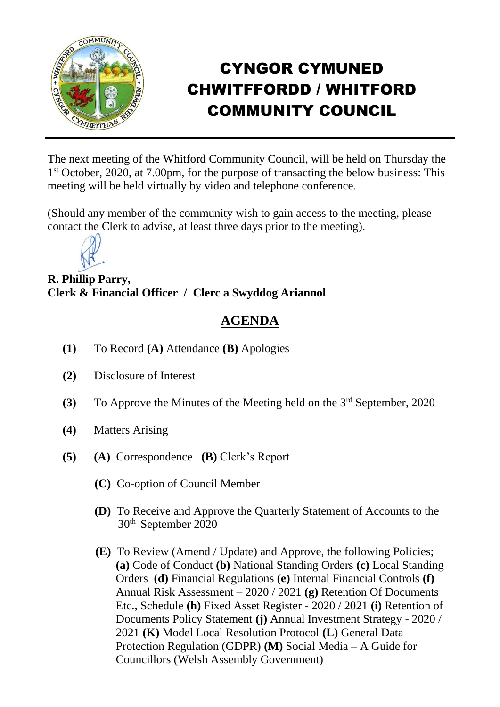

## CYNGOR CYMUNED CHWITFFORDD / WHITFORD COMMUNITY COUNCIL

The next meeting of the Whitford Community Council, will be held on Thursday the 1 st October, 2020, at 7.00pm, for the purpose of transacting the below business: This meeting will be held virtually by video and telephone conference.

(Should any member of the community wish to gain access to the meeting, please contact the Clerk to advise, at least three days prior to the meeting).



**R. Phillip Parry, Clerk & Financial Officer / Clerc a Swyddog Ariannol**

## **AGENDA**

- **(1)** To Record **(A)** Attendance **(B)** Apologies
- **(2)** Disclosure of Interest
- **(3)** To Approve the Minutes of the Meeting held on the 3rd September, 2020
- **(4)** Matters Arising
- **(5) (A)** Correspondence **(B)** Clerk's Report
	- **(C)** Co-option of Council Member
	- **(D)** To Receive and Approve the Quarterly Statement of Accounts to the 30th September 2020
	- **(E)** To Review (Amend / Update) and Approve, the following Policies;  **(a)** Code of Conduct **(b)** National Standing Orders **(c)** Local Standing Orders **(d)** Financial Regulations **(e)** Internal Financial Controls **(f)** Annual Risk Assessment – 2020 / 2021 **(g)** Retention Of Documents Etc., Schedule **(h)** Fixed Asset Register - 2020 / 2021 **(i)** Retention of Documents Policy Statement **(j)** Annual Investment Strategy - 2020 / 2021 **(K)** Model Local Resolution Protocol **(L)** General Data Protection Regulation (GDPR) **(M)** Social Media – A Guide for Councillors (Welsh Assembly Government)